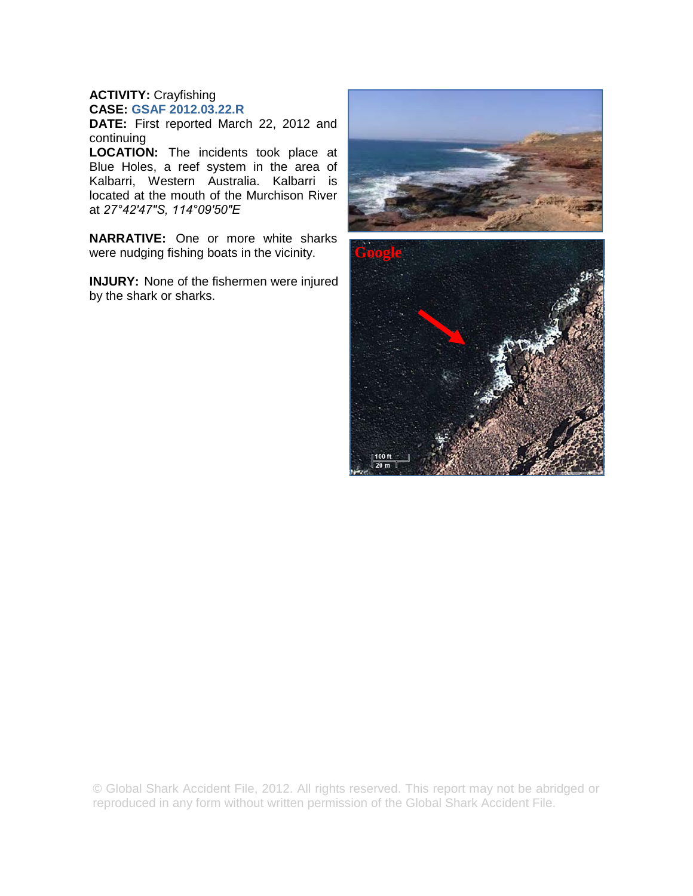## **ACTIVITY:** Crayfishing **CASE: GSAF 2012.03.22.R**

**DATE:** First reported March 22, 2012 and continuing

**LOCATION:** The incidents took place at Blue Holes, a reef system in the area of Kalbarri, Western Australia. Kalbarri is located at the mouth of the Murchison River at *27°42′47″S, 114°09′50″E* 

**NARRATIVE:** One or more white sharks were nudging fishing boats in the vicinity.

**INJURY:** None of the fishermen were injured by the shark or sharks.



© Global Shark Accident File, 2012. All rights reserved. This report may not be abridged or reproduced in any form without written permission of the Global Shark Accident File.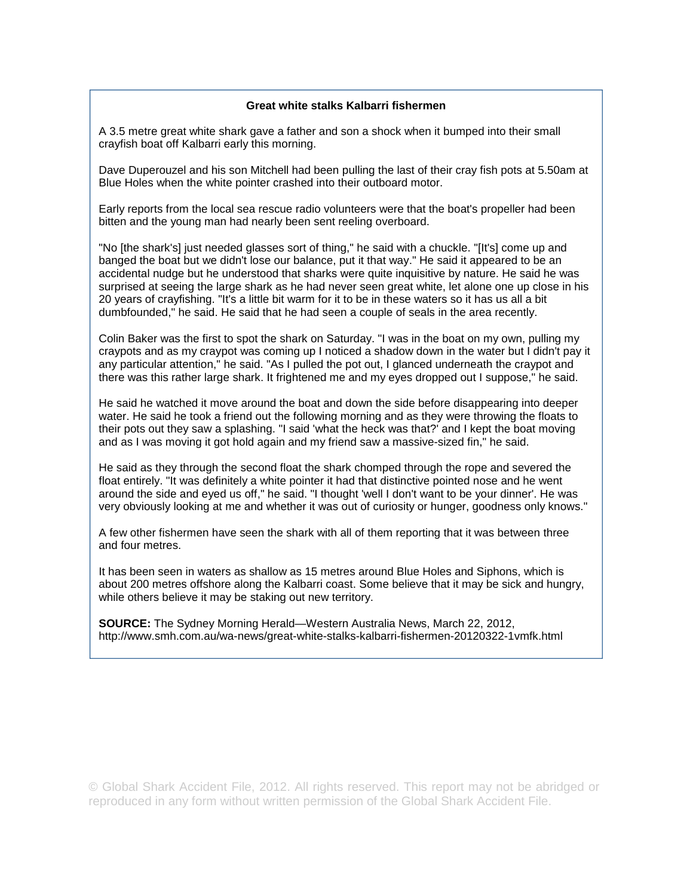## **Great white stalks Kalbarri fishermen**

A 3.5 metre great white shark gave a father and son a shock when it bumped into their small crayfish boat off Kalbarri early this morning.

Dave Duperouzel and his son Mitchell had been pulling the last of their cray fish pots at 5.50am at Blue Holes when the white pointer crashed into their outboard motor.

Early reports from the local sea rescue radio volunteers were that the boat's propeller had been bitten and the young man had nearly been sent reeling overboard.

"No [the shark's] just needed glasses sort of thing," he said with a chuckle. "[It's] come up and banged the boat but we didn't lose our balance, put it that way." He said it appeared to be an accidental nudge but he understood that sharks were quite inquisitive by nature. He said he was surprised at seeing the large shark as he had never seen great white, let alone one up close in his 20 years of crayfishing. "It's a little bit warm for it to be in these waters so it has us all a bit dumbfounded," he said. He said that he had seen a couple of seals in the area recently.

Colin Baker was the first to spot the shark on Saturday. "I was in the boat on my own, pulling my craypots and as my craypot was coming up I noticed a shadow down in the water but I didn't pay it any particular attention," he said. "As I pulled the pot out, I glanced underneath the craypot and there was this rather large shark. It frightened me and my eyes dropped out I suppose," he said.

He said he watched it move around the boat and down the side before disappearing into deeper water. He said he took a friend out the following morning and as they were throwing the floats to their pots out they saw a splashing. "I said 'what the heck was that?' and I kept the boat moving and as I was moving it got hold again and my friend saw a massive-sized fin," he said.

He said as they through the second float the shark chomped through the rope and severed the float entirely. "It was definitely a white pointer it had that distinctive pointed nose and he went around the side and eyed us off," he said. "I thought 'well I don't want to be your dinner'. He was very obviously looking at me and whether it was out of curiosity or hunger, goodness only knows."

A few other fishermen have seen the shark with all of them reporting that it was between three and four metres.

It has been seen in waters as shallow as 15 metres around Blue Holes and Siphons, which is about 200 metres offshore along the Kalbarri coast. Some believe that it may be sick and hungry, while others believe it may be staking out new territory.

**SOURCE:** The Sydney Morning Herald—Western Australia News, March 22, 2012, http://www.smh.com.au/wa-news/great-white-stalks-kalbarri-fishermen-20120322-1vmfk.html

© Global Shark Accident File, 2012. All rights reserved. This report may not be abridged or reproduced in any form without written permission of the Global Shark Accident File.